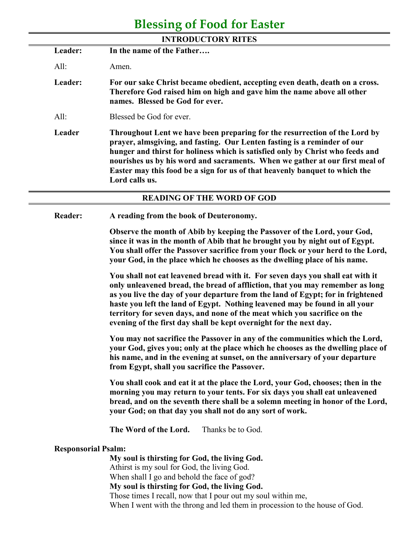## **Blessing of Food for Easter**

| <b>INTRODUCTORY RITES</b> |                                                                                                                                                                                                                                                                                                                                                                                                                           |  |
|---------------------------|---------------------------------------------------------------------------------------------------------------------------------------------------------------------------------------------------------------------------------------------------------------------------------------------------------------------------------------------------------------------------------------------------------------------------|--|
| Leader:                   | In the name of the Father                                                                                                                                                                                                                                                                                                                                                                                                 |  |
| All:                      | Amen.                                                                                                                                                                                                                                                                                                                                                                                                                     |  |
| Leader:                   | For our sake Christ became obedient, accepting even death, death on a cross.<br>Therefore God raised him on high and gave him the name above all other<br>names. Blessed be God for ever.                                                                                                                                                                                                                                 |  |
| All:                      | Blessed be God for ever.                                                                                                                                                                                                                                                                                                                                                                                                  |  |
| Leader                    | Throughout Lent we have been preparing for the resurrection of the Lord by<br>prayer, almsgiving, and fasting. Our Lenten fasting is a reminder of our<br>hunger and thirst for holiness which is satisfied only by Christ who feeds and<br>nourishes us by his word and sacraments. When we gather at our first meal of<br>Easter may this food be a sign for us of that heavenly banquet to which the<br>Lord calls us. |  |
|                           | <b>READING OF THE WORD OF GOD</b>                                                                                                                                                                                                                                                                                                                                                                                         |  |
| <b>Reader:</b>            | A reading from the book of Deuteronomy.                                                                                                                                                                                                                                                                                                                                                                                   |  |
|                           | Observe the month of Abib by keeping the Passover of the Lord, your God,<br>since it was in the month of Abib that he brought you by night out of Egypt.<br>You shall offer the Passover sacrifice from your flock or your herd to the Lord,                                                                                                                                                                              |  |

**You shall not eat leavened bread with it. For seven days you shall eat with it only unleavened bread, the bread of affliction, that you may remember as long as you live the day of your departure from the land of Egypt; for in frightened haste you left the land of Egypt. Nothing leavened may be found in all your territory for seven days, and none of the meat which you sacrifice on the evening of the first day shall be kept overnight for the next day.**

**your God, in the place which he chooses as the dwelling place of his name.** 

**You may not sacrifice the Passover in any of the communities which the Lord, your God, gives you; only at the place which he chooses as the dwelling place of his name, and in the evening at sunset, on the anniversary of your departure from Egypt, shall you sacrifice the Passover.** 

**You shall cook and eat it at the place the Lord, your God, chooses; then in the morning you may return to your tents. For six days you shall eat unleavened bread, and on the seventh there shall be a solemn meeting in honor of the Lord, your God; on that day you shall not do any sort of work.** 

**The Word of the Lord.** Thanks be to God.

## **Responsorial Psalm:**

**My soul is thirsting for God, the living God.** Athirst is my soul for God, the living God. When shall I go and behold the face of god? **My soul is thirsting for God, the living God.** Those times I recall, now that I pour out my soul within me, When I went with the throng and led them in procession to the house of God.